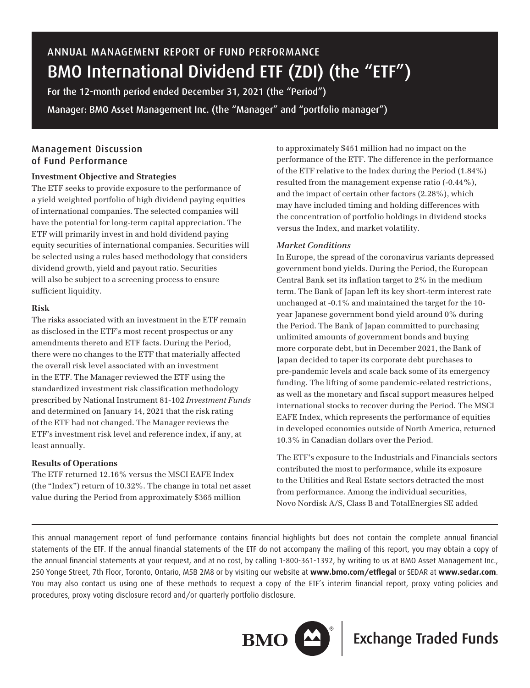# ANNUAL MANAGEMENT REPORT OF FUND PERFORMANCE BMO International Dividend ETF (ZDI) (the "ETF")

For the 12-month period ended December 31, 2021 (the "Period") Manager: BMO Asset Management Inc. (the "Manager" and "portfolio manager")

# Management Discussion of Fund Performance

# **Investment Objective and Strategies**

The ETF seeks to provide exposure to the performance of a yield weighted portfolio of high dividend paying equities of international companies. The selected companies will have the potential for long-term capital appreciation. The ETF will primarily invest in and hold dividend paying equity securities of international companies. Securities will be selected using a rules based methodology that considers dividend growth, yield and payout ratio. Securities will also be subject to a screening process to ensure sufficient liquidity.

## **Risk**

The risks associated with an investment in the ETF remain as disclosed in the ETF's most recent prospectus or any amendments thereto and ETF facts. During the Period, there were no changes to the ETF that materially affected the overall risk level associated with an investment in the ETF. The Manager reviewed the ETF using the standardized investment risk classification methodology prescribed by National Instrument 81-102 *Investment Funds* and determined on January 14, 2021 that the risk rating of the ETF had not changed. The Manager reviews the ETF's investment risk level and reference index, if any, at least annually.

# **Results of Operations**

The ETF returned 12.16% versus the MSCI EAFE Index (the "Index") return of 10.32%. The change in total net asset value during the Period from approximately \$365 million

to approximately \$451 million had no impact on the performance of the ETF. The difference in the performance of the ETF relative to the Index during the Period (1.84%) resulted from the management expense ratio (-0.44%), and the impact of certain other factors (2.28%), which may have included timing and holding differences with the concentration of portfolio holdings in dividend stocks versus the Index, and market volatility.

# *Market Conditions*

In Europe, the spread of the coronavirus variants depressed government bond yields. During the Period, the European Central Bank set its inflation target to 2% in the medium term. The Bank of Japan left its key short-term interest rate unchanged at -0.1% and maintained the target for the 10 year Japanese government bond yield around 0% during the Period. The Bank of Japan committed to purchasing unlimited amounts of government bonds and buying more corporate debt, but in December 2021, the Bank of Japan decided to taper its corporate debt purchases to pre-pandemic levels and scale back some of its emergency funding. The lifting of some pandemic-related restrictions, as well as the monetary and fiscal support measures helped international stocks to recover during the Period. The MSCI EAFE Index, which represents the performance of equities in developed economies outside of North America, returned 10.3% in Canadian dollars over the Period.

The ETF's exposure to the Industrials and Financials sectors contributed the most to performance, while its exposure to the Utilities and Real Estate sectors detracted the most from performance. Among the individual securities, Novo Nordisk A/S, Class B and TotalEnergies SE added

This annual management report of fund performance contains financial highlights but does not contain the complete annual financial statements of the ETF. If the annual financial statements of the ETF do not accompany the mailing of this report, you may obtain a copy of the annual financial statements at your request, and at no cost, by calling 1-800-361-1392, by writing to us at BMO Asset Management Inc., 250 Yonge Street, 7th Floor, Toronto, Ontario, M5B 2M8 or by visiting our website at **www.bmo.com/etflegal** or SEDAR at **www.sedar.com**. You may also contact us using one of these methods to request a copy of the ETF's interim financial report, proxy voting policies and procedures, proxy voting disclosure record and/or quarterly portfolio disclosure.



**BMO**  $\boxed{\triangle}$  **Exchange Traded Funds**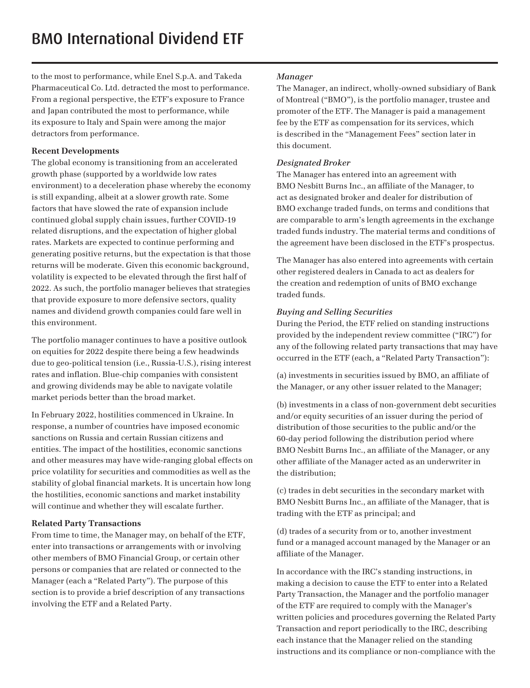to the most to performance, while Enel S.p.A. and Takeda Pharmaceutical Co. Ltd. detracted the most to performance. From a regional perspective, the ETF's exposure to France and Japan contributed the most to performance, while its exposure to Italy and Spain were among the major detractors from performance.

## **Recent Developments**

The global economy is transitioning from an accelerated growth phase (supported by a worldwide low rates environment) to a deceleration phase whereby the economy is still expanding, albeit at a slower growth rate. Some factors that have slowed the rate of expansion include continued global supply chain issues, further COVID-19 related disruptions, and the expectation of higher global rates. Markets are expected to continue performing and generating positive returns, but the expectation is that those returns will be moderate. Given this economic background, volatility is expected to be elevated through the first half of 2022. As such, the portfolio manager believes that strategies that provide exposure to more defensive sectors, quality names and dividend growth companies could fare well in this environment.

The portfolio manager continues to have a positive outlook on equities for 2022 despite there being a few headwinds due to geo-political tension (i.e., Russia-U.S.), rising interest rates and inflation. Blue-chip companies with consistent and growing dividends may be able to navigate volatile market periods better than the broad market.

In February 2022, hostilities commenced in Ukraine. In response, a number of countries have imposed economic sanctions on Russia and certain Russian citizens and entities. The impact of the hostilities, economic sanctions and other measures may have wide-ranging global effects on price volatility for securities and commodities as well as the stability of global financial markets. It is uncertain how long the hostilities, economic sanctions and market instability will continue and whether they will escalate further.

# **Related Party Transactions**

From time to time, the Manager may, on behalf of the ETF, enter into transactions or arrangements with or involving other members of BMO Financial Group, or certain other persons or companies that are related or connected to the Manager (each a "Related Party"). The purpose of this section is to provide a brief description of any transactions involving the ETF and a Related Party.

#### *Manager*

The Manager, an indirect, wholly-owned subsidiary of Bank of Montreal ("BMO"), is the portfolio manager, trustee and promoter of the ETF. The Manager is paid a management fee by the ETF as compensation for its services, which is described in the "Management Fees" section later in this document.

#### *Designated Broker*

The Manager has entered into an agreement with BMO Nesbitt Burns Inc., an affiliate of the Manager, to act as designated broker and dealer for distribution of BMO exchange traded funds, on terms and conditions that are comparable to arm's length agreements in the exchange traded funds industry. The material terms and conditions of the agreement have been disclosed in the ETF's prospectus.

The Manager has also entered into agreements with certain other registered dealers in Canada to act as dealers for the creation and redemption of units of BMO exchange traded funds.

## *Buying and Selling Securities*

During the Period, the ETF relied on standing instructions provided by the independent review committee ("IRC") for any of the following related party transactions that may have occurred in the ETF (each, a "Related Party Transaction"):

(a) investments in securities issued by BMO, an affiliate of the Manager, or any other issuer related to the Manager;

(b) investments in a class of non-government debt securities and/or equity securities of an issuer during the period of distribution of those securities to the public and/or the 60-day period following the distribution period where BMO Nesbitt Burns Inc., an affiliate of the Manager, or any other affiliate of the Manager acted as an underwriter in the distribution;

(c) trades in debt securities in the secondary market with BMO Nesbitt Burns Inc., an affiliate of the Manager, that is trading with the ETF as principal; and

(d) trades of a security from or to, another investment fund or a managed account managed by the Manager or an affiliate of the Manager.

In accordance with the IRC's standing instructions, in making a decision to cause the ETF to enter into a Related Party Transaction, the Manager and the portfolio manager of the ETF are required to comply with the Manager's written policies and procedures governing the Related Party Transaction and report periodically to the IRC, describing each instance that the Manager relied on the standing instructions and its compliance or non-compliance with the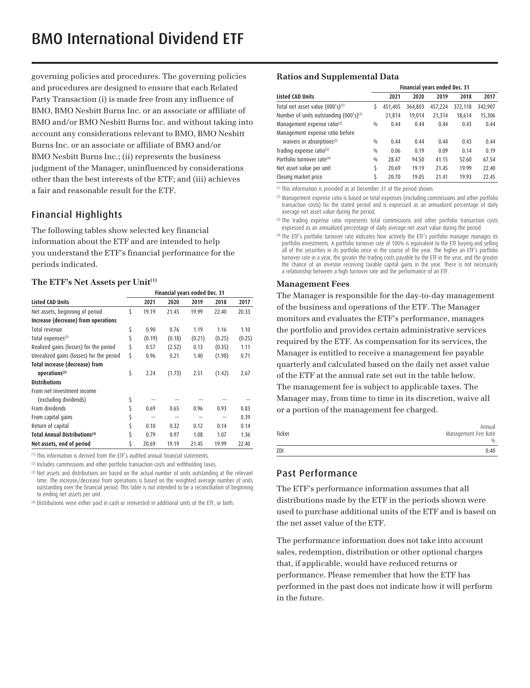governing policies and procedures. The governing policies and procedures are designed to ensure that each Related Party Transaction (i) is made free from any influence of BMO, BMO Nesbitt Burns Inc. or an associate or affiliate of BMO and/or BMO Nesbitt Burns Inc. and without taking into account any considerations relevant to BMO, BMO Nesbitt Burns Inc. or an associate or affiliate of BMO and/or BMO Nesbitt Burns Inc.; (ii) represents the business judgment of the Manager, uninfluenced by considerations other than the best interests of the ETF; and (iii) achieves a fair and reasonable result for the ETF.

# Financial Highlights

The following tables show selected key financial information about the ETF and are intended to help you understand the ETF's financial performance for the periods indicated.

#### The ETF's Net Assets per Unit<sup>(1)</sup>

|                                           | Financial years ended Dec. 31 |        |        |        |        |        |
|-------------------------------------------|-------------------------------|--------|--------|--------|--------|--------|
| <b>Listed CAD Units</b>                   |                               | 2021   | 2020   | 2019   | 2018   | 2017   |
| Net assets, beginning of period           | Ś                             | 19.19  | 21.45  | 19.99  | 22.40  | 20.33  |
| Increase (decrease) from operations       |                               |        |        |        |        |        |
| Total revenue                             | \$                            | 0.90   | 0.76   | 1.19   | 1.16   | 1.10   |
| Total expenses <sup>(2)</sup>             | \$                            | (0.19) | (0.18) | (0.21) | (0.25) | (0.25) |
| Realized gains (losses) for the period    | \$                            | 0.57   | (2.52) | 0.13   | (0.35) | 1.11   |
| Unrealized gains (losses) for the period  | \$                            | 0.96   | 0.21   | 1.40   | (1.98) | 0.71   |
| Total increase (decrease) from            |                               |        |        |        |        |        |
| operations <sup>(3)</sup>                 | \$                            | 2.24   | (1.73) | 2.51   | (1.42) | 2.67   |
| <b>Distributions</b>                      |                               |        |        |        |        |        |
| From net investment income                |                               |        |        |        |        |        |
| (excluding dividends)                     | \$                            |        |        |        |        |        |
| From dividends                            | \$                            | 0.69   | 0.65   | 0.96   | 0.93   | 0.83   |
| From capital gains                        |                               |        |        |        |        | 0.39   |
| Return of capital                         | \$                            | 0.10   | 0.32   | 0.12   | 0.14   | 0.14   |
| Total Annual Distributions <sup>(4)</sup> |                               | 0.79   | 0.97   | 1.08   | 1.07   | 1.36   |
| Net assets, end of period                 |                               | 20.69  | 19.19  | 21.45  | 19.99  | 22.40  |

(1) This information is derived from the ETF's audited annual financial statements.

<sup>(2)</sup> Includes commissions and other portfolio transaction costs and withholding taxes.

<sup>(3)</sup> Net assets and distributions are based on the actual number of units outstanding at the relevant time. The increase/decrease from operations is based on the weighted average number of units outstanding over the financial period. This table is not intended to be a reconciliation of beginning to ending net assets per unit.

(4) Distributions were either paid in cash or reinvested in additional units of the ETF, or both.

#### **Ratios and Supplemental Data**

|                                                    | Financial years ended Dec. 31 |         |         |         |         |         |
|----------------------------------------------------|-------------------------------|---------|---------|---------|---------|---------|
| <b>Listed CAD Units</b>                            |                               | 2021    | 2020    | 2019    | 2018    | 2017    |
| Total net asset value (000's)(1)                   | S                             | 451,405 | 364,803 | 457,224 | 372,118 | 342,907 |
| Number of units outstanding (000's) <sup>(1)</sup> |                               | 21,814  | 19,014  | 21,314  | 18,614  | 15,306  |
| Management expense ratio <sup>(2)</sup>            | 0/0                           | 0.44    | 0.44    | 0.44    | 0.43    | 0.44    |
| Management expense ratio before                    |                               |         |         |         |         |         |
| waivers or absorptions <sup>(2)</sup>              | 0/0                           | 0.44    | 0.44    | 0.44    | 0.43    | 0.44    |
| Trading expense ratio(3)                           | $\frac{0}{0}$                 | 0.06    | 0.19    | 0.09    | 0.14    | 0.19    |
| Portfolio turnover rate <sup>(4)</sup>             | 0/0                           | 28.47   | 94.50   | 41.15   | 52.60   | 67.54   |
| Net asset value per unit                           | Ś                             | 20.69   | 19.19   | 21.45   | 19.99   | 22.40   |
| Closing market price                               | Ś                             | 20.70   | 19.05   | 21.41   | 19.93   | 22.45   |

(1) This information is provided as at December 31 of the period shown.

(2) Management expense ratio is based on total expenses (excluding commissions and other portfolio transaction costs) for the stated period and is expressed as an annualized percentage of daily average net asset value during the period.

<sup>(3)</sup> The trading expense ratio represents total commissions and other portfolio transaction costs expressed as an annualized percentage of daily average net asset value during the period.

(4) The ETF's portfolio turnover rate indicates how actively the ETF's portfolio manager manages its portfolio investments. A portfolio turnover rate of 100% is equivalent to the ETF buying and selling all of the securities in its portfolio once in the course of the year. The higher an ETF's portfolio turnover rate in a year, the greater the trading costs payable by the ETF in the year, and the greater the chance of an investor receiving taxable capital gains in the year. There is not necessarily a relationship between a high turnover rate and the performance of an ETF.

#### **Management Fees**

The Manager is responsible for the day-to-day management of the business and operations of the ETF. The Manager monitors and evaluates the ETF's performance, manages the portfolio and provides certain administrative services required by the ETF. As compensation for its services, the Manager is entitled to receive a management fee payable quarterly and calculated based on the daily net asset value of the ETF at the annual rate set out in the table below. The management fee is subject to applicable taxes. The Manager may, from time to time in its discretion, waive all or a portion of the management fee charged.

| Ticker | Annual<br>Management Fee Rate |
|--------|-------------------------------|
|        | $\frac{0}{0}$                 |
| ZDI    | 0.40                          |

# Past Performance

The ETF's performance information assumes that all distributions made by the ETF in the periods shown were used to purchase additional units of the ETF and is based on the net asset value of the ETF.

The performance information does not take into account sales, redemption, distribution or other optional charges that, if applicable, would have reduced returns or performance. Please remember that how the ETF has performed in the past does not indicate how it will perform in the future.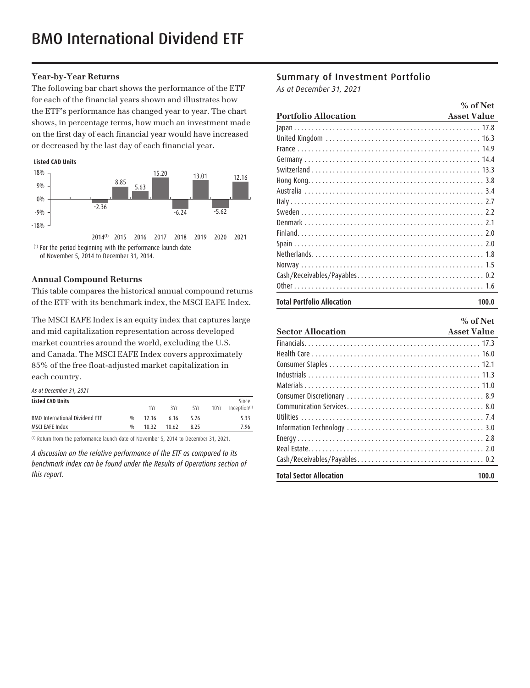## **Year-by-Year Returns**

The following bar chart shows the performance of the ETF for each of the financial years shown and illustrates how the ETF's performance has changed year to year. The chart shows, in percentage terms, how much an investment made on the first day of each financial year would have increased or decreased by the last day of each financial year.

#### **Listed CAD Units**



of November 5, 2014 to December 31, 2014.

#### **Annual Compound Returns**

This table compares the historical annual compound returns of the ETF with its benchmark index, the MSCI EAFE Index.

The MSCI EAFE Index is an equity index that captures large and mid capitalization representation across developed market countries around the world, excluding the U.S. and Canada. The MSCI EAFE Index covers approximately 85% of the free float-adjusted market capitalization in each country.

| As at December 31, 2021 |  |
|-------------------------|--|
|-------------------------|--|

| <b>Listed CAD Units</b>               |     |       |       |      |      | Since                    |
|---------------------------------------|-----|-------|-------|------|------|--------------------------|
|                                       |     | 1Yr   | 3Yr   | 5Yr  | 10Yr | Inception <sup>(1)</sup> |
| <b>BMO International Dividend ETF</b> | 0/0 | 12 16 | 6.16  | 5.26 |      | 5.33                     |
| MSCI EAFE Index                       | 0/n | 10 32 | 10.62 | 8 25 |      | 7.96                     |

(1) Return from the performance launch date of November 5, 2014 to December 31, 2021.

*A discussion on the relative performance of the ETF as compared to its benchmark index can be found under the Results of Operations section of this report.* 

# Summary of Investment Portfolio

*As at December 31, 2021*

|                                                                           | $%$ of Net         |
|---------------------------------------------------------------------------|--------------------|
| <b>Portfolio Allocation</b><br><u> 1989 - Johann Barn, mars ann an t-</u> | <b>Asset Value</b> |
|                                                                           |                    |
|                                                                           |                    |
|                                                                           |                    |
|                                                                           |                    |
|                                                                           |                    |
|                                                                           |                    |
|                                                                           |                    |
|                                                                           |                    |
|                                                                           |                    |
|                                                                           |                    |
|                                                                           |                    |
|                                                                           |                    |
|                                                                           |                    |
|                                                                           |                    |
|                                                                           |                    |
|                                                                           |                    |
| <b>Total Portfolio Allocation</b>                                         | 100.0              |

|                                | $%$ of Net         |
|--------------------------------|--------------------|
| <b>Sector Allocation</b>       | <b>Asset Value</b> |
|                                |                    |
|                                |                    |
|                                |                    |
|                                |                    |
|                                |                    |
|                                |                    |
|                                |                    |
|                                |                    |
|                                |                    |
|                                |                    |
|                                |                    |
|                                |                    |
| <b>Total Sector Allocation</b> | 100.0              |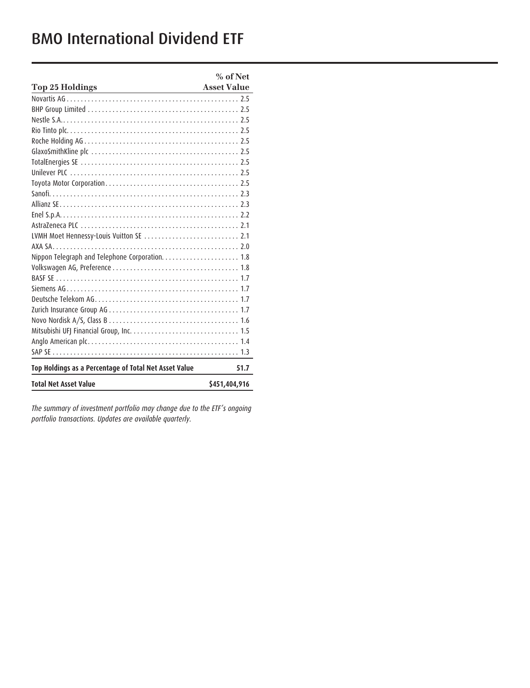# BMO International Dividend ETF

|                                                                                                                                                | $%$ of Net         |
|------------------------------------------------------------------------------------------------------------------------------------------------|--------------------|
| <b>Top 25 Holdings</b><br><u> 1980 - Johann Barn, mars ann an t-Amhain Aonaich an t-Aonaich an t-Aonaich ann an t-Aonaich ann an t-Aonaich</u> | <b>Asset Value</b> |
|                                                                                                                                                |                    |
|                                                                                                                                                |                    |
|                                                                                                                                                |                    |
|                                                                                                                                                |                    |
|                                                                                                                                                |                    |
|                                                                                                                                                |                    |
|                                                                                                                                                |                    |
|                                                                                                                                                |                    |
|                                                                                                                                                |                    |
|                                                                                                                                                |                    |
|                                                                                                                                                |                    |
|                                                                                                                                                |                    |
|                                                                                                                                                |                    |
|                                                                                                                                                |                    |
|                                                                                                                                                |                    |
|                                                                                                                                                |                    |
|                                                                                                                                                |                    |
|                                                                                                                                                |                    |
|                                                                                                                                                |                    |
|                                                                                                                                                |                    |
|                                                                                                                                                |                    |
|                                                                                                                                                |                    |
|                                                                                                                                                |                    |
|                                                                                                                                                |                    |
|                                                                                                                                                |                    |
| Top Holdings as a Percentage of Total Net Asset Value                                                                                          | 51.7               |
| <b>Total Net Asset Value</b>                                                                                                                   | \$451,404,916      |

*The summary of investment portfolio may change due to the ETF's ongoing portfolio transactions. Updates are available quarterly.*